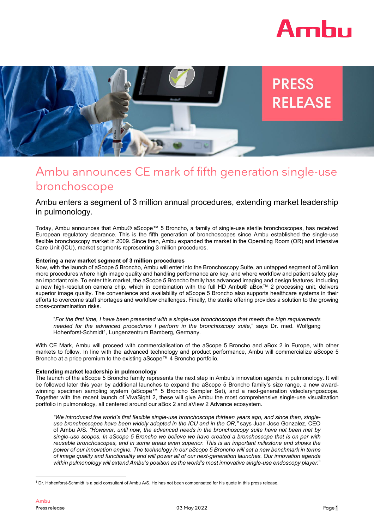



# Ambu announces CE mark of fifth generation single-use bronchoscope

## Ambu enters a segment of 3 million annual procedures, extending market leadership in pulmonology.

Today, Ambu announces that Ambu® aScope™ 5 Broncho, a family of single-use sterile bronchoscopes, has received European regulatory clearance. This is the fifth generation of bronchoscopes since Ambu established the single-use flexible bronchoscopy market in 2009. Since then, Ambu expanded the market in the Operating Room (OR) and Intensive Care Unit (ICU), market segments representing 3 million procedures.

## **Entering a new market segment of 3 million procedures**

Now, with the launch of aScope 5 Broncho, Ambu will enter into the Bronchoscopy Suite, an untapped segment of 3 million more procedures where high image quality and handling performance are key, and where workflow and patient safety play an important role. To enter this market, the aScope 5 Broncho family has advanced imaging and design features, including a new high-resolution camera chip, which in combination with the full HD Ambu® aBox™ 2 processing unit, delivers superior image quality. The convenience and availability of aScope 5 Broncho also supports healthcare systems in their efforts to overcome staff shortages and workflow challenges. Finally, the sterile offering provides a solution to the growing cross-contamination risks.

"For the first time, I have been presented with a single-use bronchoscope that meets the high requirements *needed for the advanced procedures I perform in the bronchoscopy suite,*" says Dr. med. Wolfgang Hohenforst-Schmidt<sup>[1](#page-0-0)</sup>, Lungenzentrum Bamberg, Germany.

With CE Mark, Ambu will proceed with commercialisation of the aScope 5 Broncho and aBox 2 in Europe, with other markets to follow. In line with the advanced technology and product performance, Ambu will commercialize aScope 5 Broncho at a price premium to the existing aScope™ 4 Broncho portfolio.

## **Extending market leadership in pulmonology**

The launch of the aScope 5 Broncho family represents the next step in Ambu's innovation agenda in pulmonology. It will be followed later this year by additional launches to expand the aScope 5 Broncho family's size range, a new awardwinning specimen sampling system (aScope™ 5 Broncho Sampler Set), and a next-generation videolaryngoscope. Together with the recent launch of VivaSight 2, these will give Ambu the most comprehensive single-use visualization portfolio in pulmonology, all centered around our aBox 2 and aView 2 Advance ecosystem.

*"We introduced the world's first flexible single-use bronchoscope thirteen years ago, and since then, singleuse bronchoscopes have been widely adopted in the ICU and in the OR,"* says Juan Jose Gonzalez, CEO of Ambu A/S. *"However, until now, the advanced needs in the bronchoscopy suite have not been met by* single-use scopes. In aScope 5 Broncho we believe we have created a bronchoscope that is on par with *reusable bronchoscopes, and in some areas even superior. This is an important milestone and shows the* power of our innovation engine. The technology in our aScope 5 Broncho will set a new benchmark in terms *of image quality and functionality and will power all of our next-generation launches. Our innovation agenda within pulmonology will extend Ambu's position as the world's most innovative single-use endoscopy player.*"

<span id="page-0-0"></span><sup>1</sup> Dr. Hohenforst-Schmidt is a paid consultant of Ambu A/S. He has not been compensated for his quote in this press release.